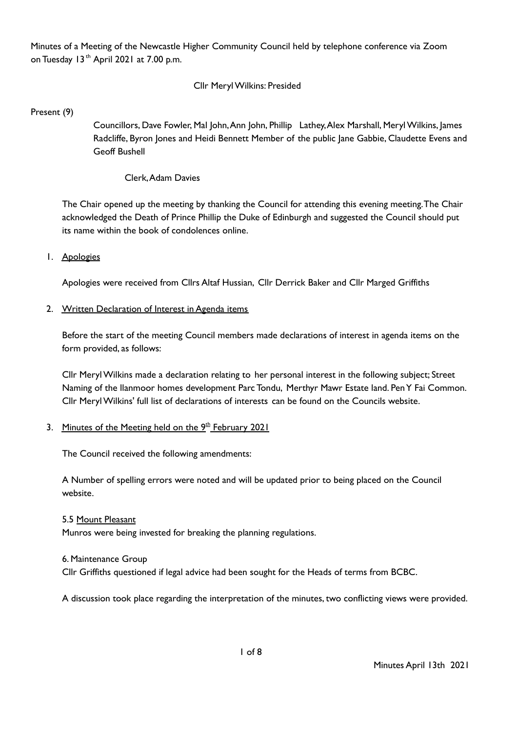Minutes of a Meeting of the Newcastle Higher Community Council held by telephone conference via Zoom on Tuesday 13<sup>th</sup> April 2021 at 7.00 p.m.

## Cllr MerylWilkins: Presided

Present (9)

Councillors, Dave Fowler, Mal John,Ann John, Phillip Lathey,Alex Marshall, MerylWilkins, James Radcliffe, Byron Jones and Heidi Bennett Member of the public Jane Gabbie, Claudette Evens and Geoff Bushell

## Clerk,Adam Davies

The Chair opened up the meeting by thanking the Council for attending this evening meeting.The Chair acknowledged the Death of Prince Phillip the Duke of Edinburgh and suggested the Council should put its name within the book of condolences online.

#### 1. Apologies

Apologies were received from Cllrs Altaf Hussian, Cllr Derrick Baker and Cllr Marged Griffiths

#### 2. Written Declaration of Interest in Agenda items

Before the start of the meeting Council members made declarations of interest in agenda items on the form provided, as follows:

Cllr MerylWilkins made a declaration relating to her personal interest in the following subject; Street Naming of the llanmoor homes development Parc Tondu, Merthyr Mawr Estate land. PenY Fai Common. Cllr MerylWilkins' full list of declarations of interests can be found on the Councils website.

#### 3. Minutes of the Meeting held on the 9<sup>th</sup> February 2021

The Council received the following amendments:

A Number of spelling errors were noted and will be updated prior to being placed on the Council website.

## 5.5 Mount Pleasant

Munros were being invested for breaking the planning regulations.

#### 6. Maintenance Group

Cllr Griffiths questioned if legal advice had been sought for the Heads of terms from BCBC.

A discussion took place regarding the interpretation of the minutes, two conflicting views were provided.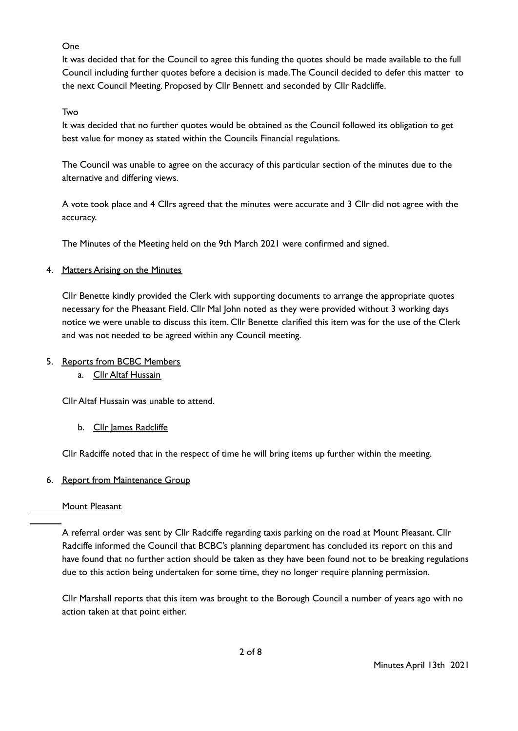## One

It was decided that for the Council to agree this funding the quotes should be made available to the full Council including further quotes before a decision is made.The Council decided to defer this matter to the next Council Meeting. Proposed by Cllr Bennett and seconded by Cllr Radcliffe.

## Two

It was decided that no further quotes would be obtained as the Council followed its obligation to get best value for money as stated within the Councils Financial regulations.

The Council was unable to agree on the accuracy of this particular section of the minutes due to the alternative and differing views.

A vote took place and 4 Cllrs agreed that the minutes were accurate and 3 Cllr did not agree with the accuracy.

The Minutes of the Meeting held on the 9th March 2021 were confirmed and signed.

## 4. Matters Arising on the Minutes

Cllr Benette kindly provided the Clerk with supporting documents to arrange the appropriate quotes necessary for the Pheasant Field. Cllr Mal John noted as they were provided without 3 working days notice we were unable to discuss this item. Cllr Benette clarified this item was for the use of the Clerk and was not needed to be agreed within any Council meeting.

## 5. Reports from BCBC Members

a. Cllr Altaf Hussain

Cllr Altaf Hussain was unable to attend.

b. Cllr James Radcliffe

Cllr Radciffe noted that in the respect of time he will bring items up further within the meeting.

# 6. Report from Maintenance Group

## Mount Pleasant

A referral order was sent by Cllr Radciffe regarding taxis parking on the road at Mount Pleasant. Cllr Radciffe informed the Council that BCBC's planning department has concluded its report on this and have found that no further action should be taken as they have been found not to be breaking regulations due to this action being undertaken for some time, they no longer require planning permission.

Cllr Marshall reports that this item was brought to the Borough Council a number of years ago with no action taken at that point either.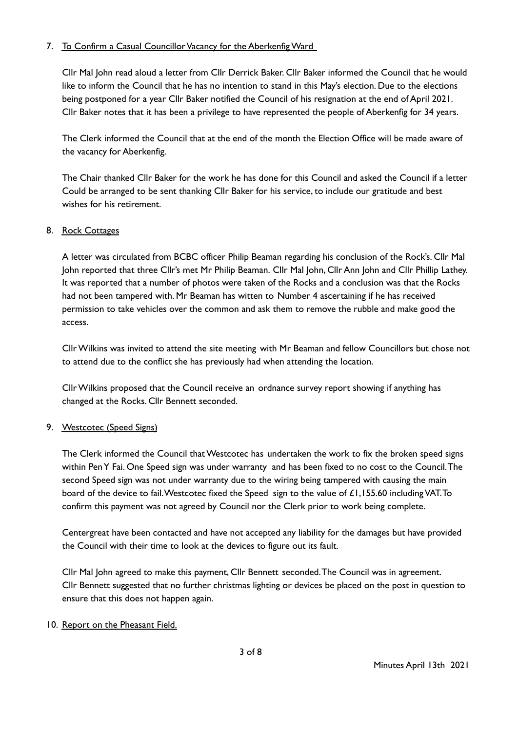## 7. To Confirm a Casual Councillor Vacancy for the Aberkenfig Ward

Cllr Mal John read aloud a letter from Cllr Derrick Baker. Cllr Baker informed the Council that he would like to inform the Council that he has no intention to stand in this May's election. Due to the elections being postponed for a year Cllr Baker notified the Council of his resignation at the end of April 2021. Cllr Baker notes that it has been a privilege to have represented the people of Aberkenfig for 34 years.

The Clerk informed the Council that at the end of the month the Election Office will be made aware of the vacancy for Aberkenfig.

The Chair thanked Cllr Baker for the work he has done for this Council and asked the Council if a letter Could be arranged to be sent thanking Cllr Baker for his service, to include our gratitude and best wishes for his retirement.

## 8. Rock Cottages

A letter was circulated from BCBC officer Philip Beaman regarding his conclusion of the Rock's. Cllr Mal John reported that three Cllr's met Mr Philip Beaman. Cllr Mal John, Cllr Ann John and Cllr Phillip Lathey. It was reported that a number of photos were taken of the Rocks and a conclusion was that the Rocks had not been tampered with. Mr Beaman has witten to Number 4 ascertaining if he has received permission to take vehicles over the common and ask them to remove the rubble and make good the access.

CllrWilkins was invited to attend the site meeting with Mr Beaman and fellow Councillors but chose not to attend due to the conflict she has previously had when attending the location.

CllrWilkins proposed that the Council receive an ordnance survey report showing if anything has changed at the Rocks. Cllr Bennett seconded.

## 9. Westcotec (Speed Signs)

The Clerk informed the Council that Westcotec has undertaken the work to fix the broken speed signs within PenY Fai. One Speed sign was under warranty and has been fixed to no cost to the Council.The second Speed sign was not under warranty due to the wiring being tampered with causing the main board of the device to fail. Westcotec fixed the Speed sign to the value of £1,155.60 including VAT. To confirm this payment was not agreed by Council nor the Clerk prior to work being complete.

Centergreat have been contacted and have not accepted any liability for the damages but have provided the Council with their time to look at the devices to figure out its fault.

Cllr Mal John agreed to make this payment, Cllr Bennett seconded.The Council was in agreement. Cllr Bennett suggested that no further christmas lighting or devices be placed on the post in question to ensure that this does not happen again.

## 10. Report on the Pheasant Field.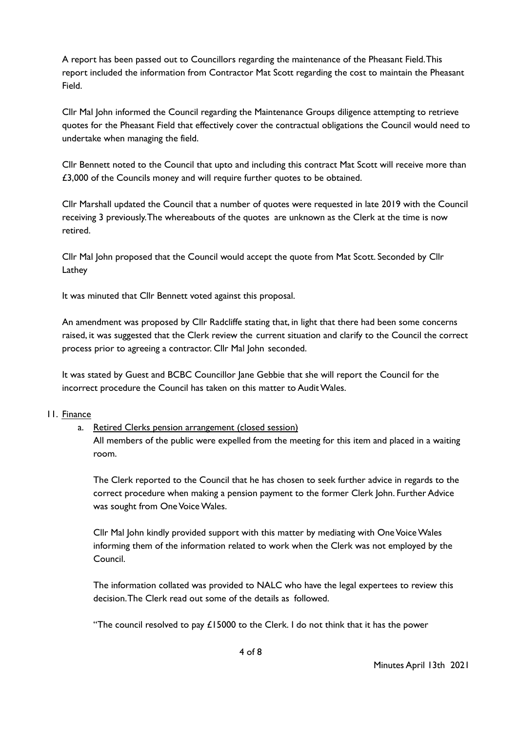A report has been passed out to Councillors regarding the maintenance of the Pheasant Field.This report included the information from Contractor Mat Scott regarding the cost to maintain the Pheasant Field.

Cllr Mal John informed the Council regarding the Maintenance Groups diligence attempting to retrieve quotes for the Pheasant Field that effectively cover the contractual obligations the Council would need to undertake when managing the field.

Cllr Bennett noted to the Council that upto and including this contract Mat Scott will receive more than £3,000 of the Councils money and will require further quotes to be obtained.

Cllr Marshall updated the Council that a number of quotes were requested in late 2019 with the Council receiving 3 previously.The whereabouts of the quotes are unknown as the Clerk at the time is now retired.

Cllr Mal John proposed that the Council would accept the quote from Mat Scott. Seconded by Cllr Lathey

It was minuted that Cllr Bennett voted against this proposal.

An amendment was proposed by Cllr Radcliffe stating that, in light that there had been some concerns raised, it was suggested that the Clerk review the current situation and clarify to the Council the correct process prior to agreeing a contractor. Cllr Mal John seconded.

It was stated by Guest and BCBC Councillor Jane Gebbie that she will report the Council for the incorrect procedure the Council has taken on this matter to Audit Wales.

## 11. Finance

# a. Retired Clerks pension arrangement (closed session)

All members of the public were expelled from the meeting for this item and placed in a waiting room.

The Clerk reported to the Council that he has chosen to seek further advice in regards to the correct procedure when making a pension payment to the former Clerk John. Further Advice was sought from One Voice Wales.

Cllr Mal John kindly provided support with this matter by mediating with OneVoiceWales informing them of the information related to work when the Clerk was not employed by the Council.

The information collated was provided to NALC who have the legal expertees to review this decision.The Clerk read out some of the details as followed.

"The council resolved to pay £15000 to the Clerk. I do not think that it has the power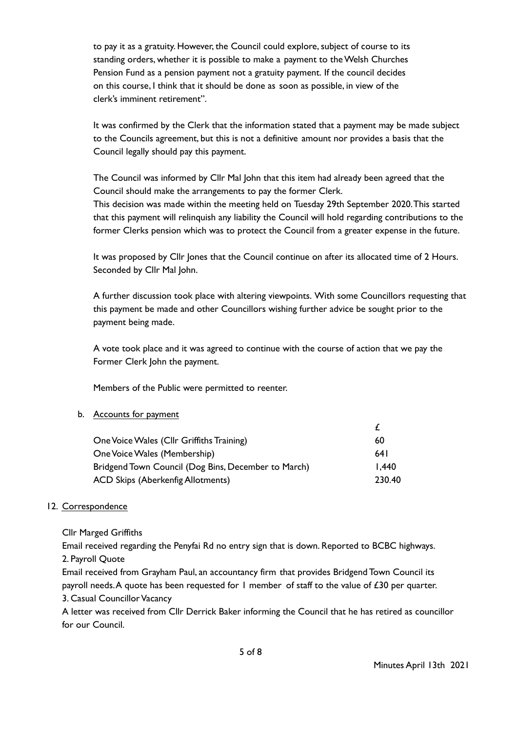to pay it as a gratuity. However, the Council could explore,subject of course to its standing orders, whether it is possible to make a payment to the Welsh Churches Pension Fund as a pension payment not a gratuity payment. If the council decides on this course, I think that it should be done as soon as possible, in view of the clerk's imminent retirement".

It was confirmed by the Clerk that the information stated that a payment may be made subject to the Councils agreement, but this is not a definitive amount nor provides a basis that the Council legally should pay this payment.

The Council was informed by Cllr Mal John that this item had already been agreed that the Council should make the arrangements to pay the former Clerk.

This decision was made within the meeting held on Tuesday 29th September 2020.This started that this payment will relinquish any liability the Council will hold regarding contributions to the former Clerks pension which was to protect the Council from a greater expense in the future.

It was proposed by Cllr Jones that the Council continue on after its allocated time of 2 Hours. Seconded by Cllr Mal John.

A further discussion took place with altering viewpoints. With some Councillors requesting that this payment be made and other Councillors wishing further advice be sought prior to the payment being made.

A vote took place and it was agreed to continue with the course of action that we pay the Former Clerk John the payment.

Members of the Public were permitted to reenter.

## b. Accounts for payment

| One Voice Wales (Cllr Griffiths Training)           | 60     |
|-----------------------------------------------------|--------|
| One Voice Wales (Membership)                        | 64 I   |
| Bridgend Town Council (Dog Bins, December to March) | 1.440  |
| <b>ACD Skips (Aberkenfig Allotments)</b>            | 230.40 |

## 12. Correspondence

Cllr Marged Griffiths

Email received regarding the Penyfai Rd no entry sign that is down. Reported to BCBC highways. 2. Payroll Quote

Email received from Grayham Paul, an accountancy firm that provides Bridgend Town Council its payroll needs.A quote has been requested for 1 member of staff to the value of £30 per quarter. 3. Casual Councillor Vacancy

A letter was received from Cllr Derrick Baker informing the Council that he has retired as councillor for our Council.

£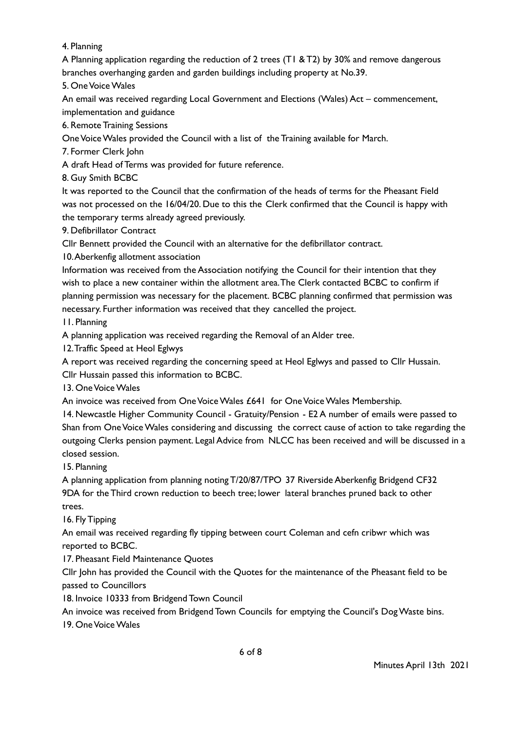4. Planning

A Planning application regarding the reduction of 2 trees (T1 &T2) by 30% and remove dangerous branches overhanging garden and garden buildings including property at No.39.

5. OneVoiceWales

An email was received regarding Local Government and Elections (Wales) Act – commencement, implementation and guidance

6. Remote Training Sessions

OneVoiceWales provided the Council with a list of the Training available for March.

7. Former Clerk John

A draft Head of Terms was provided for future reference.

8. Guy Smith BCBC

It was reported to the Council that the confirmation of the heads of terms for the Pheasant Field was not processed on the 16/04/20. Due to this the Clerk confirmed that the Council is happy with the temporary terms already agreed previously.

9. Defibrillator Contract

Cllr Bennett provided the Council with an alternative for the defibrillator contract.

10.Aberkenfig allotment association

Information was received from the Association notifying the Council for their intention that they wish to place a new container within the allotment area.The Clerk contacted BCBC to confirm if planning permission was necessary for the placement. BCBC planning confirmed that permission was necessary. Further information was received that they cancelled the project.

11. Planning

A planning application was received regarding the Removal of an Alder tree.

12.Traffic Speed at Heol Eglwys

A report was received regarding the concerning speed at Heol Eglwys and passed to Cllr Hussain. Cllr Hussain passed this information to BCBC.

13. OneVoiceWales

An invoice was received from One Voice Wales £641 for One Voice Wales Membership.

14. Newcastle Higher Community Council - Gratuity/Pension - E2 A number of emails were passed to Shan from OneVoiceWales considering and discussing the correct cause of action to take regarding the outgoing Clerks pension payment. Legal Advice from NLCC has been received and will be discussed in a closed session.

15. Planning

A planning application from planning noting T/20/87/TPO 37 Riverside Aberkenfig Bridgend CF32 9DA for the Third crown reduction to beech tree; lower lateral branches pruned back to other trees.

16. Fly Tipping

An email was received regarding fly tipping between court Coleman and cefn cribwr which was reported to BCBC.

17. Pheasant Field Maintenance Quotes

Cllr John has provided the Council with the Quotes for the maintenance of the Pheasant field to be passed to Councillors

18. Invoice 10333 from Bridgend Town Council

An invoice was received from Bridgend Town Councils for emptying the Council's DogWaste bins.

19. OneVoiceWales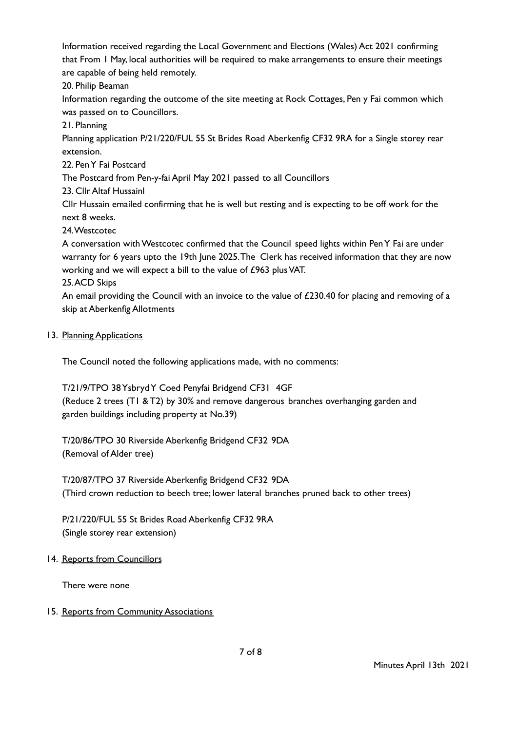Information received regarding the Local Government and Elections (Wales) Act 2021 confirming that From 1 May, local authorities will be required to make arrangements to ensure their meetings are capable of being held remotely.

20. Philip Beaman

Information regarding the outcome of the site meeting at Rock Cottages, Pen y Fai common which was passed on to Councillors.

21. Planning

Planning application P/21/220/FUL 55 St Brides Road Aberkenfig CF32 9RA for a Single storey rear extension.

22. PenY Fai Postcard

The Postcard from Pen-y-fai April May 2021 passed to all Councillors

23. Cllr Altaf Hussainl

Cllr Hussain emailed confirming that he is well but resting and is expecting to be off work for the next 8 weeks.

24.Westcotec

A conversation withWestcotec confirmed that the Council speed lights within PenY Fai are under warranty for 6 years upto the 19th June 2025.The Clerk has received information that they are now working and we will expect a bill to the value of £963 plusVAT.

25.ACD Skips

An email providing the Council with an invoice to the value of  $£230.40$  for placing and removing of a skip at Aberkenfig Allotments

## 13. Planning Applications

The Council noted the following applications made, with no comments:

T/21/9/TPO 38YsbrydY Coed Penyfai Bridgend CF31 4GF (Reduce 2 trees (T1 &T2) by 30% and remove dangerous branches overhanging garden and garden buildings including property at No.39)

T/20/86/TPO 30 Riverside Aberkenfig Bridgend CF32 9DA (Removal of Alder tree)

T/20/87/TPO 37 Riverside Aberkenfig Bridgend CF32 9DA (Third crown reduction to beech tree; lower lateral branches pruned back to other trees)

P/21/220/FUL 55 St Brides Road Aberkenfig CF32 9RA (Single storey rear extension)

## 14. Reports from Councillors

There were none

## 15. Reports from Community Associations